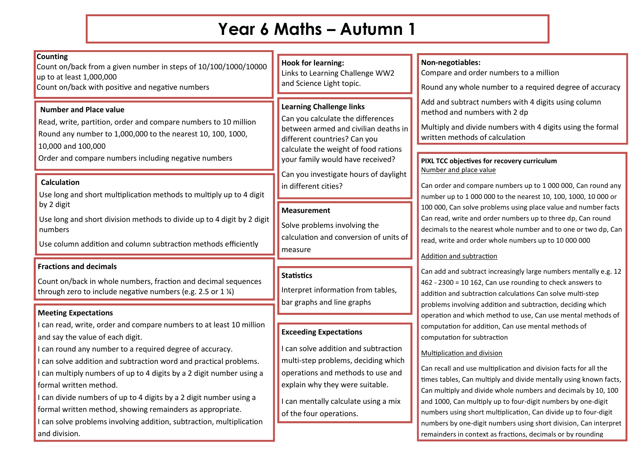# **Year 6 Maths – Autumn 1**

| <b>Counting</b><br>Count on/back from a given number in steps of 10/100/1000/10000<br>up to at least 1,000,000<br>Count on/back with positive and negative numbers                                                                                                                                                                                                                                                                         | <b>Hook for learning:</b><br>Links to Learning Challenge WW2<br>and Science Light topic.                                                                                                                                                                                                  | Non-negotiables:<br>Compare and order numbers to a million<br>Round any whole number to a required degree of accuracy                                                                                                                                                                                                                                                                                                                        |
|--------------------------------------------------------------------------------------------------------------------------------------------------------------------------------------------------------------------------------------------------------------------------------------------------------------------------------------------------------------------------------------------------------------------------------------------|-------------------------------------------------------------------------------------------------------------------------------------------------------------------------------------------------------------------------------------------------------------------------------------------|----------------------------------------------------------------------------------------------------------------------------------------------------------------------------------------------------------------------------------------------------------------------------------------------------------------------------------------------------------------------------------------------------------------------------------------------|
| <b>Number and Place value</b><br>Read, write, partition, order and compare numbers to 10 million<br>Round any number to 1,000,000 to the nearest 10, 100, 1000,<br>10,000 and 100,000<br>Order and compare numbers including negative numbers<br><b>Calculation</b>                                                                                                                                                                        | <b>Learning Challenge links</b><br>Can you calculate the differences<br>between armed and civilian deaths in<br>different countries? Can you<br>calculate the weight of food rations<br>your family would have received?<br>Can you investigate hours of daylight<br>in different cities? | Add and subtract numbers with 4 digits using column<br>method and numbers with 2 dp<br>Multiply and divide numbers with 4 digits using the formal<br>written methods of calculation<br>PIXL TCC objectives for recovery curriculum<br>Number and place value<br>Can order and compare numbers up to 1 000 000, Can round any                                                                                                                 |
| Use long and short multiplication methods to multiply up to 4 digit<br>by 2 digit<br>Use long and short division methods to divide up to 4 digit by 2 digit<br>numbers<br>Use column addition and column subtraction methods efficiently                                                                                                                                                                                                   | <b>Measurement</b><br>Solve problems involving the<br>calculation and conversion of units of<br>measure                                                                                                                                                                                   | number up to 1 000 000 to the nearest 10, 100, 1000, 10 000 or<br>100 000, Can solve problems using place value and number facts<br>Can read, write and order numbers up to three dp, Can round<br>decimals to the nearest whole number and to one or two dp, Can<br>read, write and order whole numbers up to 10 000 000<br><b>Addition and subtraction</b>                                                                                 |
| <b>Fractions and decimals</b><br>Count on/back in whole numbers, fraction and decimal sequences<br>through zero to include negative numbers (e.g. 2.5 or 1 $\frac{1}{2}$ )                                                                                                                                                                                                                                                                 | <b>Statistics</b><br>Interpret information from tables,<br>bar graphs and line graphs                                                                                                                                                                                                     | Can add and subtract increasingly large numbers mentally e.g. 12<br>462 - 2300 = 10 162, Can use rounding to check answers to<br>addition and subtraction calculations Can solve multi-step                                                                                                                                                                                                                                                  |
| <b>Meeting Expectations</b>                                                                                                                                                                                                                                                                                                                                                                                                                |                                                                                                                                                                                                                                                                                           | problems involving addition and subtraction, deciding which<br>operation and which method to use, Can use mental methods of                                                                                                                                                                                                                                                                                                                  |
| I can read, write, order and compare numbers to at least 10 million<br>and say the value of each digit.                                                                                                                                                                                                                                                                                                                                    | <b>Exceeding Expectations</b>                                                                                                                                                                                                                                                             | computation for addition, Can use mental methods of<br>computation for subtraction                                                                                                                                                                                                                                                                                                                                                           |
| I can round any number to a required degree of accuracy.<br>I can solve addition and subtraction word and practical problems.<br>I can multiply numbers of up to 4 digits by a 2 digit number using a<br>formal written method.<br>I can divide numbers of up to 4 digits by a 2 digit number using a<br>formal written method, showing remainders as appropriate.<br>I can solve problems involving addition, subtraction, multiplication | I can solve addition and subtraction<br>multi-step problems, deciding which<br>operations and methods to use and<br>explain why they were suitable.<br>I can mentally calculate using a mix<br>of the four operations.                                                                    | Multiplication and division<br>Can recall and use multiplication and division facts for all the<br>times tables, Can multiply and divide mentally using known facts,<br>Can multiply and divide whole numbers and decimals by 10, 100<br>and 1000, Can multiply up to four-digit numbers by one-digit<br>numbers using short multiplication, Can divide up to four-digit<br>numbers by one-digit numbers using short division, Can interpret |
| and division.                                                                                                                                                                                                                                                                                                                                                                                                                              |                                                                                                                                                                                                                                                                                           | remainders in context as fractions, decimals or by rounding                                                                                                                                                                                                                                                                                                                                                                                  |